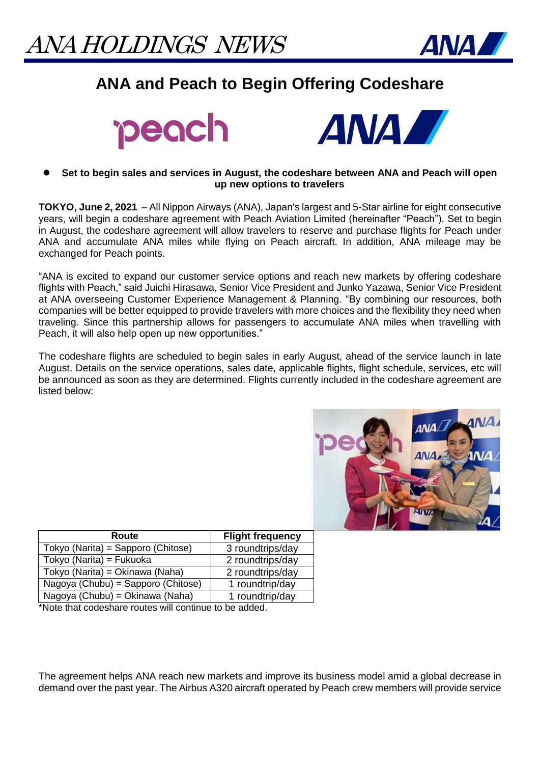

## **ANA and Peach to Begin Offering Codeshare**





## **Set to begin sales and services in August, the codeshare between ANA and Peach will open up new options to travelers**

**TOKYO, June 2, 2021** – All Nippon Airways (ANA), Japan's largest and 5-Star airline for eight consecutive years, will begin a codeshare agreement with Peach Aviation Limited (hereinafter "Peach"). Set to begin in August, the codeshare agreement will allow travelers to reserve and purchase flights for Peach under ANA and accumulate ANA miles while flying on Peach aircraft. In addition, ANA mileage may be exchanged for Peach points.

"ANA is excited to expand our customer service options and reach new markets by offering codeshare flights with Peach," said Juichi Hirasawa, Senior Vice President and Junko Yazawa, Senior Vice President at ANA overseeing Customer Experience Management & Planning. "By combining our resources, both companies will be better equipped to provide travelers with more choices and the flexibility they need when traveling. Since this partnership allows for passengers to accumulate ANA miles when travelling with Peach, it will also help open up new opportunities."

The codeshare flights are scheduled to begin sales in early August, ahead of the service launch in late August. Details on the service operations, sales date, applicable flights, flight schedule, services, etc will be announced as soon as they are determined. Flights currently included in the codeshare agreement are listed below:



| Route                              | <b>Flight frequency</b> |
|------------------------------------|-------------------------|
| Tokyo (Narita) = Sapporo (Chitose) | 3 roundtrips/day        |
| Tokyo (Narita) = Fukuoka           | 2 roundtrips/day        |
| Tokyo (Narita) = Okinawa (Naha)    | 2 roundtrips/day        |
| Nagoya (Chubu) = Sapporo (Chitose) | 1 roundtrip/day         |
| Nagoya (Chubu) = Okinawa (Naha)    | 1 roundtrip/day         |

\*Note that codeshare routes will continue to be added.

The agreement helps ANA reach new markets and improve its business model amid a global decrease in demand over the past year. The Airbus A320 aircraft operated by Peach crew members will provide service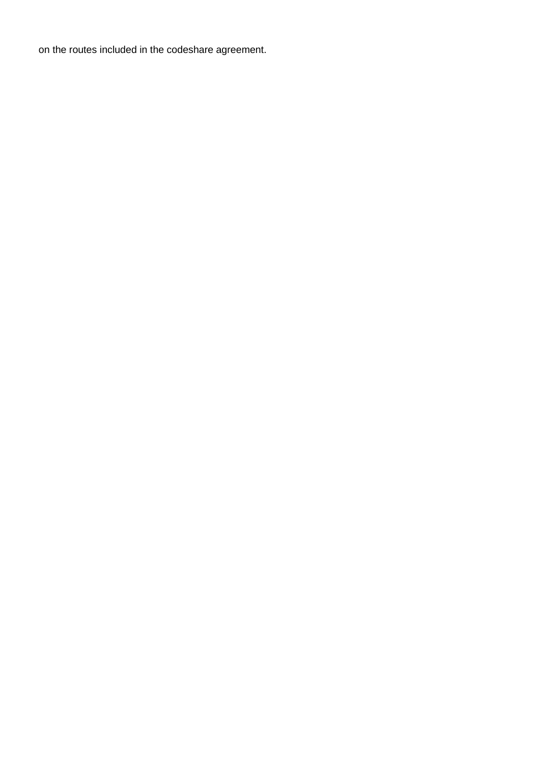on the routes included in the codeshare agreement.